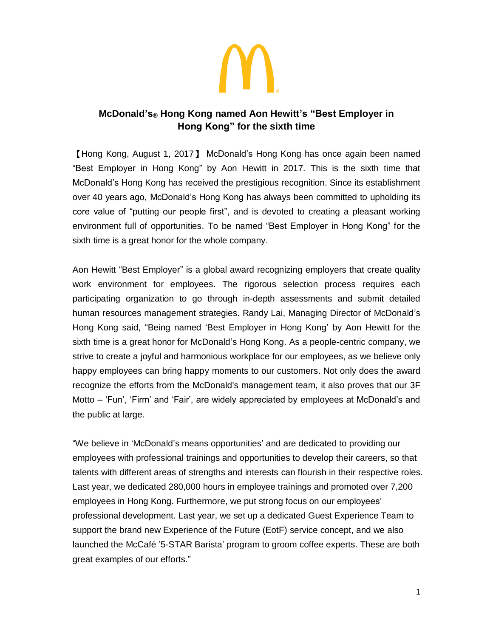

# **McDonald's® Hong Kong named Aon Hewitt's "Best Employer in Hong Kong" for the sixth time**

【Hong Kong, August 1, 2017】 McDonald's Hong Kong has once again been named "Best Employer in Hong Kong" by Aon Hewitt in 2017. This is the sixth time that McDonald's Hong Kong has received the prestigious recognition. Since its establishment over 40 years ago, McDonald's Hong Kong has always been committed to upholding its core value of "putting our people first", and is devoted to creating a pleasant working environment full of opportunities. To be named "Best Employer in Hong Kong" for the sixth time is a great honor for the whole company.

Aon Hewitt "Best Employer" is a global award recognizing employers that create quality work environment for employees. The rigorous selection process requires each participating organization to go through in-depth assessments and submit detailed human resources management strategies. Randy Lai, Managing Director of McDonald's Hong Kong said, "Being named 'Best Employer in Hong Kong' by Aon Hewitt for the sixth time is a great honor for McDonald's Hong Kong. As a people-centric company, we strive to create a joyful and harmonious workplace for our employees, as we believe only happy employees can bring happy moments to our customers. Not only does the award recognize the efforts from the McDonald's management team, it also proves that our 3F Motto – 'Fun', 'Firm' and 'Fair', are widely appreciated by employees at McDonald's and the public at large.

"We believe in 'McDonald's means opportunities' and are dedicated to providing our employees with professional trainings and opportunities to develop their careers, so that talents with different areas of strengths and interests can flourish in their respective roles. Last year, we dedicated 280,000 hours in employee trainings and promoted over 7,200 employees in Hong Kong. Furthermore, we put strong focus on our employees' professional development. Last year, we set up a dedicated Guest Experience Team to support the brand new Experience of the Future (EotF) service concept, and we also launched the McCafé '5-STAR Barista' program to groom coffee experts. These are both great examples of our efforts."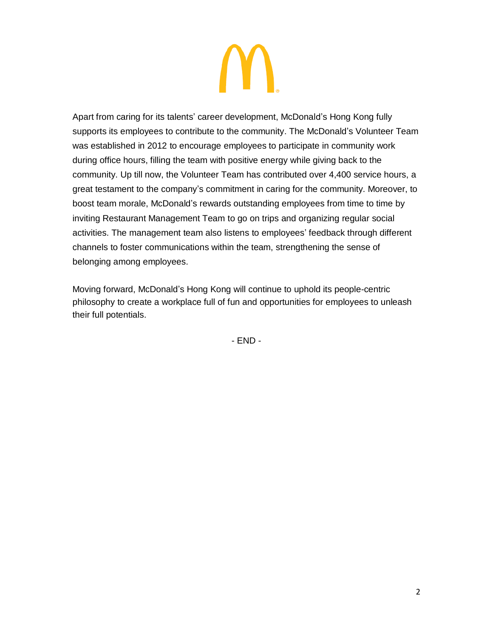Apart from caring for its talents' career development, McDonald's Hong Kong fully supports its employees to contribute to the community. The McDonald's Volunteer Team was established in 2012 to encourage employees to participate in community work during office hours, filling the team with positive energy while giving back to the community. Up till now, the Volunteer Team has contributed over 4,400 service hours, a great testament to the company's commitment in caring for the community. Moreover, to boost team morale, McDonald's rewards outstanding employees from time to time by inviting Restaurant Management Team to go on trips and organizing regular social activities. The management team also listens to employees' feedback through different channels to foster communications within the team, strengthening the sense of belonging among employees.

Moving forward, McDonald's Hong Kong will continue to uphold its people-centric philosophy to create a workplace full of fun and opportunities for employees to unleash their full potentials.

- END -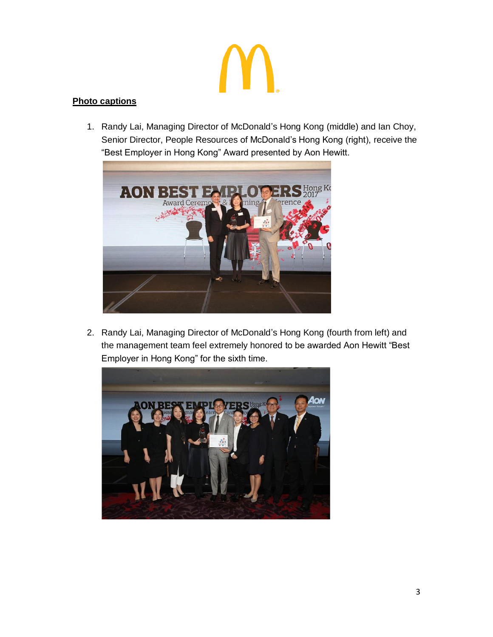# **Photo captions**

1. Randy Lai, Managing Director of McDonald's Hong Kong (middle) and Ian Choy, Senior Director, People Resources of McDonald's Hong Kong (right), receive the "Best Employer in Hong Kong" Award presented by Aon Hewitt.



2. Randy Lai, Managing Director of McDonald's Hong Kong (fourth from left) and the management team feel extremely honored to be awarded Aon Hewitt "Best Employer in Hong Kong" for the sixth time.